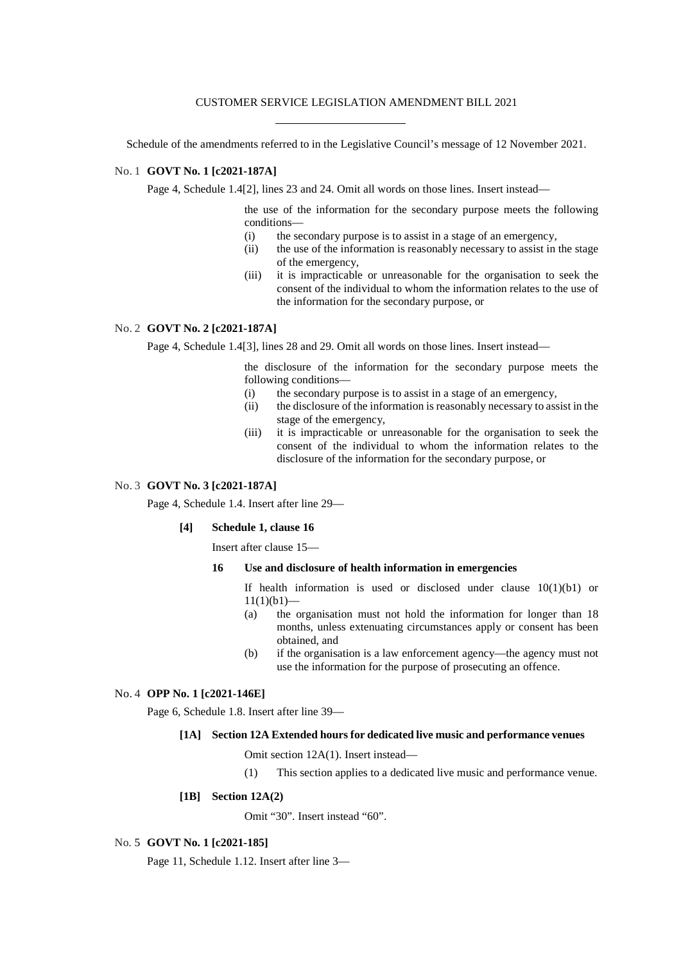### CUSTOMER SERVICE LEGISLATION AMENDMENT BILL 2021

Schedule of the amendments referred to in the Legislative Council's message of 12 November 2021.

# No. 1 **GOVT No. 1 [c2021-187A]**

Page 4, Schedule 1.4<sup>[2]</sup>, lines 23 and 24. Omit all words on those lines. Insert instead—

the use of the information for the secondary purpose meets the following conditions—

- (i) the secondary purpose is to assist in a stage of an emergency,
- (ii) the use of the information is reasonably necessary to assist in the stage of the emergency,
- (iii) it is impracticable or unreasonable for the organisation to seek the consent of the individual to whom the information relates to the use of the information for the secondary purpose, or

### No. 2 **GOVT No. 2 [c2021-187A]**

Page 4, Schedule 1.4[3], lines 28 and 29. Omit all words on those lines. Insert instead—

the disclosure of the information for the secondary purpose meets the following conditions—

- (i) the secondary purpose is to assist in a stage of an emergency,
- (ii) the disclosure of the information is reasonably necessary to assist in the stage of the emergency,
- (iii) it is impracticable or unreasonable for the organisation to seek the consent of the individual to whom the information relates to the disclosure of the information for the secondary purpose, or

# No. 3 **GOVT No. 3 [c2021-187A]**

Page 4, Schedule 1.4. Insert after line 29—

### **[4] Schedule 1, clause 16**

Insert after clause 15—

### **16 Use and disclosure of health information in emergencies**

If health information is used or disclosed under clause  $10(1)(b1)$  or  $11(1)(b1)$ 

- (a) the organisation must not hold the information for longer than 18 months, unless extenuating circumstances apply or consent has been obtained, and
- (b) if the organisation is a law enforcement agency—the agency must not use the information for the purpose of prosecuting an offence.

# No. 4 **OPP No. 1 [c2021-146E]**

Page 6, Schedule 1.8. Insert after line 39—

#### **[1A] Section 12A Extended hours for dedicated live music and performance venues**

Omit section 12A(1). Insert instead—

(1) This section applies to a dedicated live music and performance venue.

# **[1B] Section 12A(2)**

Omit "30". Insert instead "60".

#### No. 5 **GOVT No. 1 [c2021-185]**

Page 11, Schedule 1.12. Insert after line 3—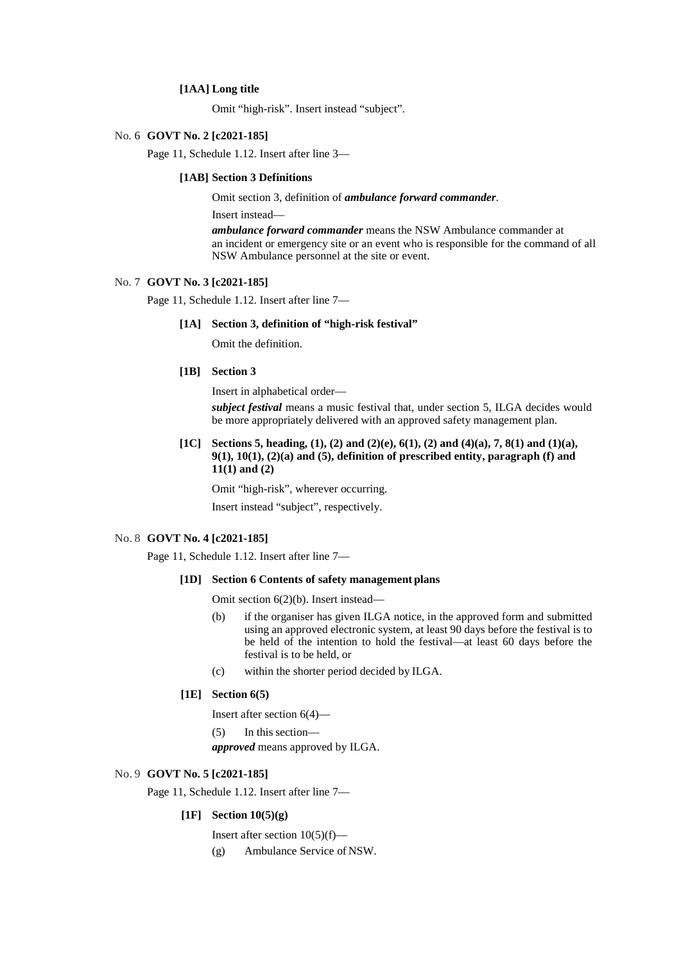### **[1AA] Long title**

Omit "high-risk". Insert instead "subject".

### No. 6 **GOVT No. 2 [c2021-185]**

Page 11, Schedule 1.12. Insert after line 3—

#### **[1AB] Section 3 Definitions**

Omit section 3, definition of *ambulance forward commander*.

Insert instead—

*ambulance forward commander* means the NSW Ambulance commander at an incident or emergency site or an event who is responsible for the command of all NSW Ambulance personnel at the site or event.

## No. 7 **GOVT No. 3 [c2021-185]**

Page 11, Schedule 1.12. Insert after line 7—

#### **[1A] Section 3, definition of "high-risk festival"**

Omit the definition.

# **[1B] Section 3**

Insert in alphabetical order—

*subject festival* means a music festival that, under section 5, ILGA decides would be more appropriately delivered with an approved safety management plan.

# **[1C] Sections 5, heading, (1), (2) and (2)(e), 6(1), (2) and (4)(a), 7, 8(1) and (1)(a), 9(1), 10(1), (2)(a) and (5), definition of prescribed entity, paragraph (f) and 11(1) and (2)**

Omit "high-risk", wherever occurring.

Insert instead "subject", respectively.

#### No. 8 **GOVT No. 4 [c2021-185]**

Page 11, Schedule 1.12. Insert after line 7—

#### **[1D] Section 6 Contents of safety management plans**

Omit section 6(2)(b). Insert instead—

- (b) if the organiser has given ILGA notice, in the approved form and submitted using an approved electronic system, at least 90 days before the festival is to be held of the intention to hold the festival—at least 60 days before the festival is to be held, or
- (c) within the shorter period decided by ILGA.

## **[1E] Section 6(5)**

Insert after section 6(4)—

(5) In this section—

*approved* means approved by ILGA.

### No. 9 **GOVT No. 5 [c2021-185]**

Page 11, Schedule 1.12. Insert after line 7—

#### **[1F] Section 10(5)(g)**

Insert after section 10(5)(f)—

(g) Ambulance Service of NSW.